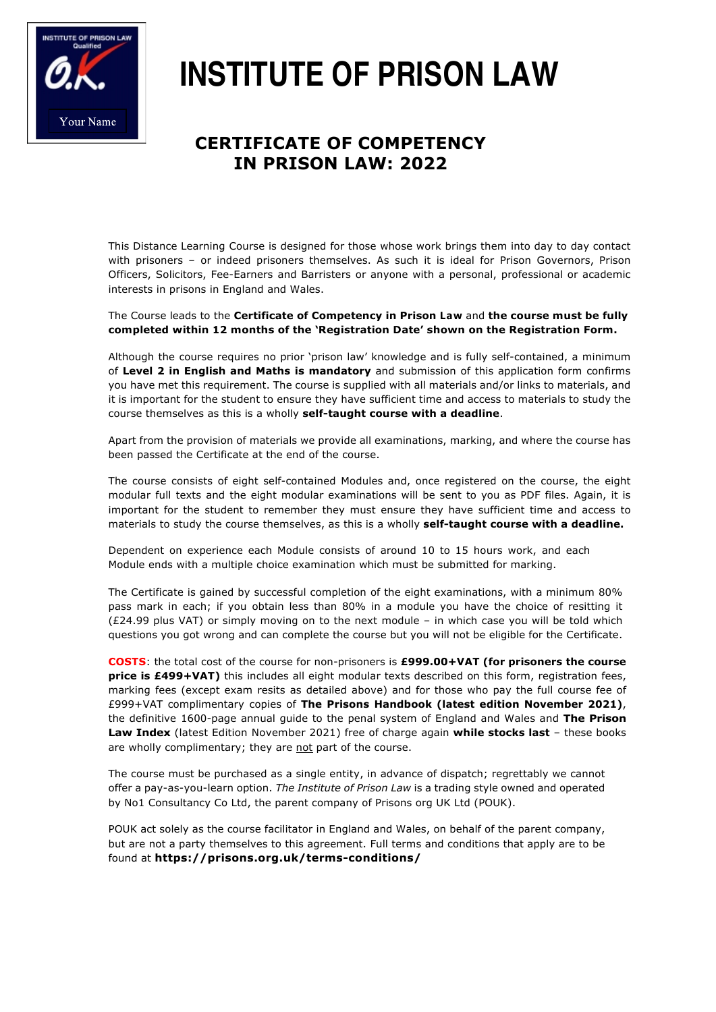

# **INSTITUTE OF PRISON LAW**

## **CERTIFICATE OF COMPETENCY IN PRISON LAW: 2022**

This Distance Learning Course is designed for those whose work brings them into day to day contact with prisoners – or indeed prisoners themselves. As such it is ideal for Prison Governors, Prison Officers, Solicitors, Fee-Earners and Barristers or anyone with a personal, professional or academic interests in prisons in England and Wales.

#### The Course leads to the **Certificate of Competency in Prison Law** and **the course must be fully completed within 12 months of the 'Registration Date' shown on the Registration Form.**

Although the course requires no prior 'prison law' knowledge and is fully self-contained, a minimum of **Level 2 in English and Maths is mandatory** and submission of this application form confirms you have met this requirement. The course is supplied with all materials and/or links to materials, and it is important for the student to ensure they have sufficient time and access to materials to study the course themselves as this is a wholly **self-taught course with a deadline**.

Apart from the provision of materials we provide all examinations, marking, and where the course has been passed the Certificate at the end of the course.

The course consists of eight self-contained Modules and, once registered on the course, the eight modular full texts and the eight modular examinations will be sent to you as PDF files. Again, it is important for the student to remember they must ensure they have sufficient time and access to materials to study the course themselves, as this is a wholly **self-taught course with a deadline.**

Dependent on experience each Module consists of around 10 to 15 hours work, and each Module ends with a multiple choice examination which must be submitted for marking.

The Certificate is gained by successful completion of the eight examinations, with a minimum 80% pass mark in each; if you obtain less than 80% in a module you have the choice of resitting it (£24.99 plus VAT) or simply moving on to the next module – in which case you will be told which questions you got wrong and can complete the course but you will not be eligible for the Certificate.

**COSTS**: the total cost of the course for non-prisoners is **£999.00+VAT (for prisoners the course price is £499+VAT)** this includes all eight modular texts described on this form, registration fees, marking fees (except exam resits as detailed above) and for those who pay the full course fee of £999+VAT complimentary copies of **The Prisons Handbook (latest edition November 2021)**, the definitive 1600-page annual guide to the penal system of England and Wales and **The Prison Law Index** (latest Edition November 2021) free of charge again **while stocks last** – these books are wholly complimentary; they are not part of the course.

The course must be purchased as a single entity, in advance of dispatch; regrettably we cannot offer a pay-as-you-learn option. *The Institute of Prison Law* is a trading style owned and operated by No1 Consultancy Co Ltd, the parent company of Prisons org UK Ltd (POUK).

POUK act solely as the course facilitator in England and Wales, on behalf of the parent company, but are not a party themselves to this agreement. Full terms and conditions that apply are to be found at **https://prisons.org.uk/terms-conditions/**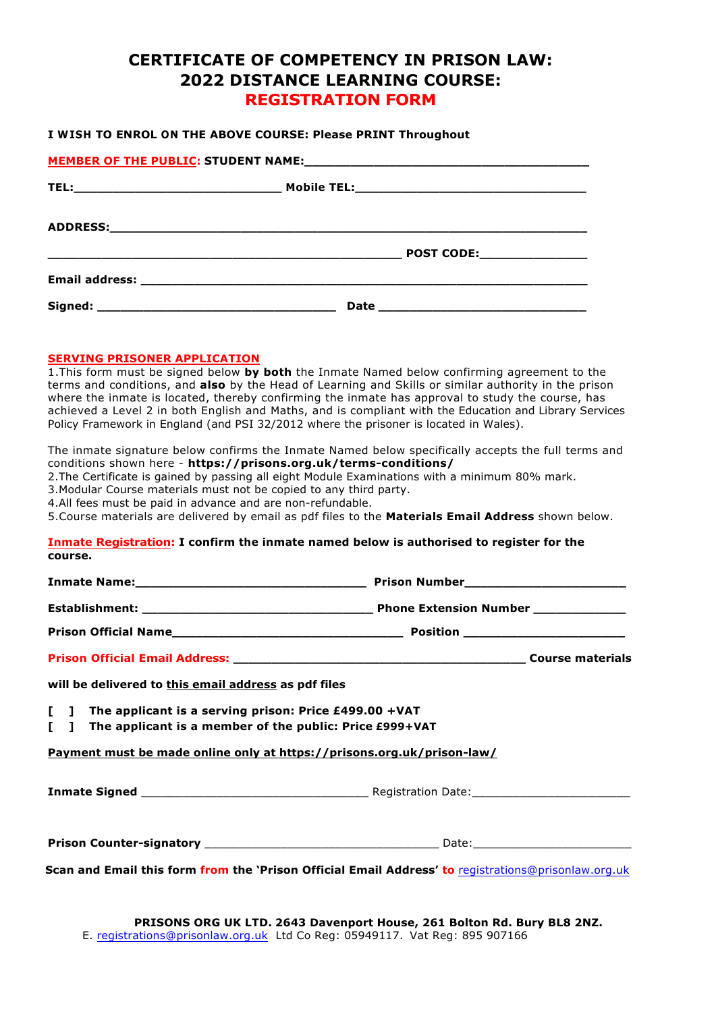### **CERTIFICATE OF COMPETENCY IN PRISON LAW: 2022 DISTANCE LEARNING COURSE: REGISTRATION FORM**

#### **I WISH TO ENROL ON THE ABOVE COURSE: Please PRINT Throughout**

#### **SERVING PRISONER APPLICATION**

1.This form must be signed below **by both** the Inmate Named below confirming agreement to the terms and conditions, and **also** by the Head of Learning and Skills or similar authority in the prison where the inmate is located, thereby confirming the inmate has approval to study the course, has achieved a Level 2 in both English and Maths, and is compliant with the Education and Library Services Policy Framework in England (and PSI 32/2012 where the prisoner is located in Wales).

The inmate signature below confirms the Inmate Named below specifically accepts the full terms and conditions shown here - **https://prisons.org.uk/terms-conditions/**

2.The Certificate is gained by passing all eight Module Examinations with a minimum 80% mark.

3.Modular Course materials must not be copied to any third party.

4.All fees must be paid in advance and are non-refundable.

5.Course materials are delivered by email as pdf files to the **Materials Email Address** shown below.

#### **Inmate Registration: I confirm the inmate named below is authorised to register for the course.**

| will be delivered to this email address as pdf files                                                                     |  |  |  |
|--------------------------------------------------------------------------------------------------------------------------|--|--|--|
| [ ] The applicant is a serving prison: Price £499.00 +VAT<br>[ ] The applicant is a member of the public: Price £999+VAT |  |  |  |
| Payment must be made online only at https://prisons.org.uk/prison-law/                                                   |  |  |  |
|                                                                                                                          |  |  |  |
|                                                                                                                          |  |  |  |
| Scan and Email this form from the 'Prison Official Email Address' to registrations@prisonlaw.org.uk                      |  |  |  |

**PRISONS ORG UK LTD. 2643 Davenport House, 261 Bolton Rd. Bury BL8 2NZ.** E. registrations@prisonlaw.org.uk Ltd Co Reg: 05949117. Vat Reg: 895 907166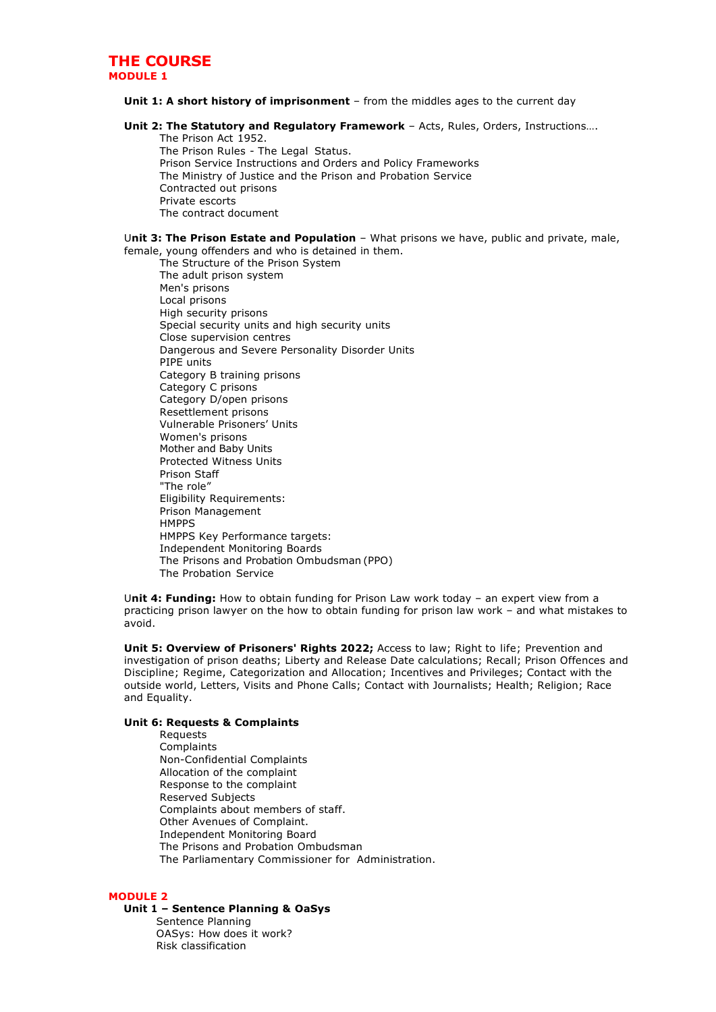#### **THE COURSE MODULE 1**

#### **Unit 1: A short history of imprisonment** – from the middles ages to the current day

#### **Unit 2: The Statutory and Regulatory Framework** – Acts, Rules, Orders, Instructions….

The Prison Act 1952. The Prison Rules - The Legal Status. Prison Service Instructions and Orders and Policy Frameworks The Ministry of Justice and the Prison and Probation Service Contracted out prisons Private escorts The contract document

#### U**nit 3: The Prison Estate and Population** – What prisons we have, public and private, male, female, young offenders and who is detained in them.

The Structure of the Prison System The adult prison system Men's prisons Local prisons High security prisons Special security units and high security units Close supervision centres Dangerous and Severe Personality Disorder Units PIPE units Category B training prisons Category C prisons Category D/open prisons Resettlement prisons Vulnerable Prisoners' Units Women's prisons Mother and Baby Units Protected Witness Units Prison Staff "The role" Eligibility Requirements: Prison Management **HMPPS** HMPPS Key Performance targets: Independent Monitoring Boards The Prisons and Probation Ombudsman (PPO) The Probation Service

U**nit 4: Funding:** How to obtain funding for Prison Law work today – an expert view from a practicing prison lawyer on the how to obtain funding for prison law work – and what mistakes to avoid.

**Unit 5: Overview of Prisoners' Rights 2022;** Access to law; Right to life; Prevention and investigation of prison deaths; Liberty and Release Date calculations; Recall; Prison Offences and Discipline; Regime, Categorization and Allocation; Incentives and Privileges; Contact with the outside world, Letters, Visits and Phone Calls; Contact with Journalists; Health; Religion; Race and Equality.

#### **Unit 6: Requests & Complaints**

Requests **Complaints** Non-Confidential Complaints Allocation of the complaint Response to the complaint Reserved Subjects Complaints about members of staff. Other Avenues of Complaint. Independent Monitoring Board The Prisons and Probation Ombudsman The Parliamentary Commissioner for Administration.

#### **MODULE 2**

#### **Unit 1 – Sentence Planning & OaSys**

Sentence Planning OASys: How does it work? Risk classification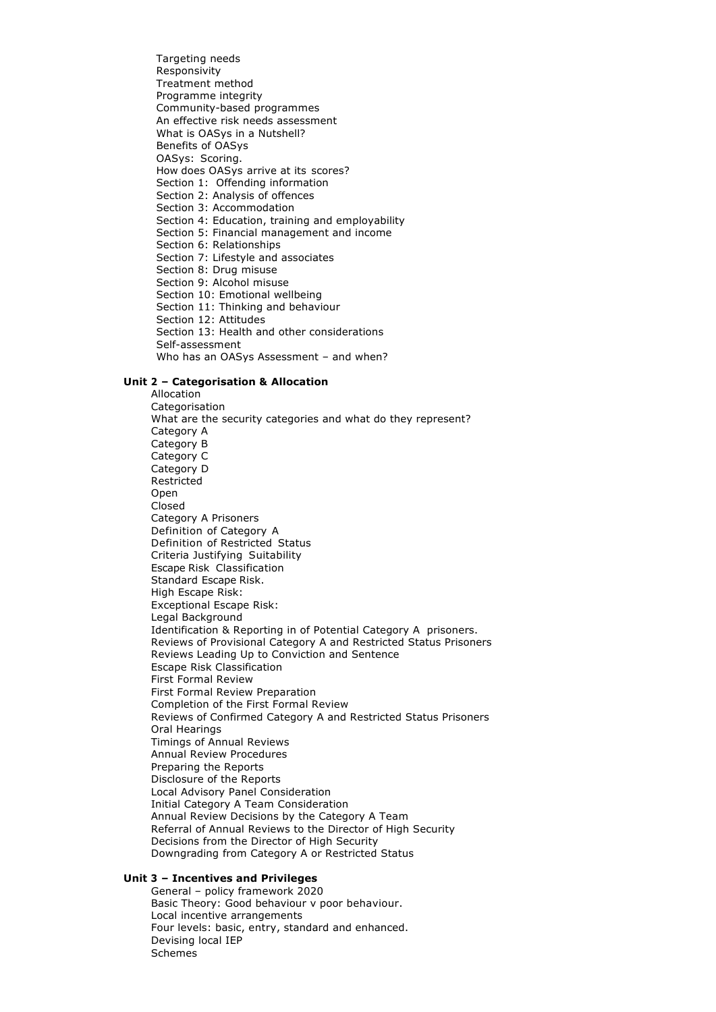Targeting needs Responsivity Treatment method Programme integrity Community-based programmes An effective risk needs assessment What is OASys in a Nutshell? Benefits of OASys OASys: Scoring. How does OASys arrive at its scores? Section 1: Offending information Section 2: Analysis of offences Section 3: Accommodation Section 4: Education, training and employability Section 5: Financial management and income Section 6: Relationships Section 7: Lifestyle and associates Section 8: Drug misuse Section 9: Alcohol misuse Section 10: Emotional wellbeing Section 11: Thinking and behaviour Section 12: Attitudes Section 13: Health and other considerations Self-assessment Who has an OASys Assessment – and when?

#### **Unit 2 – Categorisation & Allocation**

Allocation **Categorisation** What are the security categories and what do they represent? Category A Category B Category C Category D Restricted **Open** Closed Category A Prisoners Definition of Category A Definition of Restricted Status Criteria Justifying Suitability Escape Risk Classification Standard Escape Risk. High Escape Risk: Exceptional Escape Risk: Legal Background Identification & Reporting in of Potential Category A prisoners. Reviews of Provisional Category A and Restricted Status Prisoners Reviews Leading Up to Conviction and Sentence Escape Risk Classification First Formal Review First Formal Review Preparation Completion of the First Formal Review Reviews of Confirmed Category A and Restricted Status Prisoners Oral Hearings Timings of Annual Reviews Annual Review Procedures Preparing the Reports Disclosure of the Reports Local Advisory Panel Consideration Initial Category A Team Consideration Annual Review Decisions by the Category A Team Referral of Annual Reviews to the Director of High Security Decisions from the Director of High Security Downgrading from Category A or Restricted Status

#### **Unit 3 – Incentives and Privileges**

General – policy framework 2020 Basic Theory: Good behaviour v poor behaviour. Local incentive arrangements Four levels: basic, entry, standard and enhanced. Devising local IEP Schemes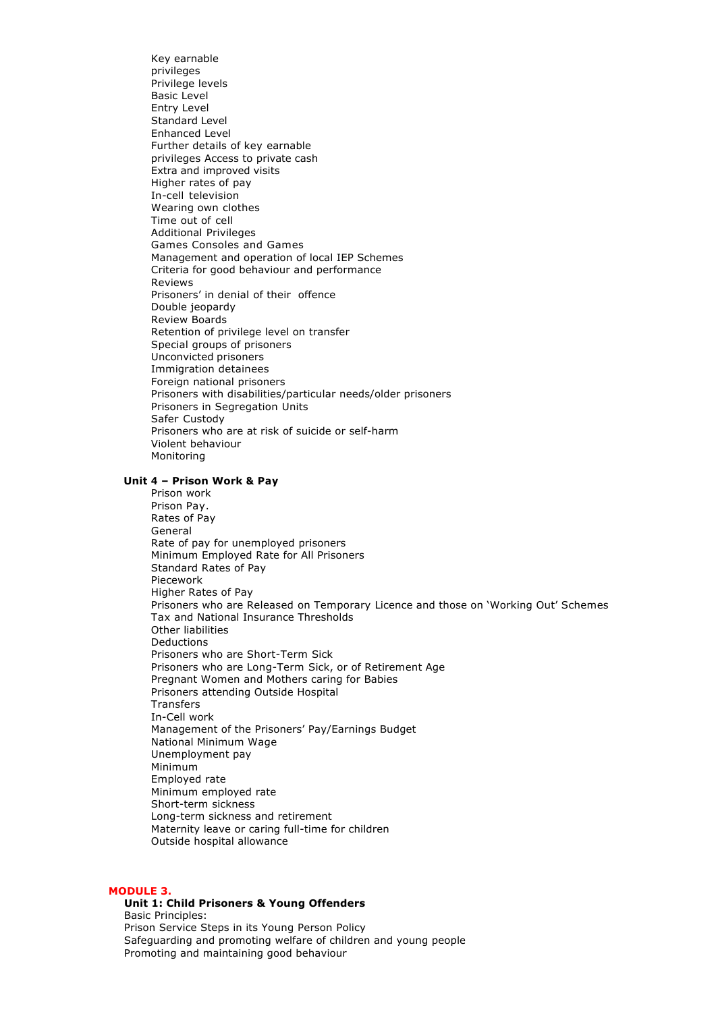Key earnable privileges Privilege levels Basic Level Entry Level Standard Level Enhanced Level Further details of key earnable privileges Access to private cash Extra and improved visits Higher rates of pay In-cell television Wearing own clothes Time out of cell Additional Privileges Games Consoles and Games Management and operation of local IEP Schemes Criteria for good behaviour and performance Reviews Prisoners' in denial of their offence Double jeopardy Review Boards Retention of privilege level on transfer Special groups of prisoners Unconvicted prisoners Immigration detainees Foreign national prisoners Prisoners with disabilities/particular needs/older prisoners Prisoners in Segregation Units Safer Custody Prisoners who are at risk of suicide or self-harm Violent behaviour Monitoring

#### **Unit 4 – Prison Work & Pay**

Prison work Prison Pay. Rates of Pay General Rate of pay for unemployed prisoners Minimum Employed Rate for All Prisoners Standard Rates of Pay Piecework Higher Rates of Pay Prisoners who are Released on Temporary Licence and those on 'Working Out' Schemes Tax and National Insurance Thresholds Other liabilities **Deductions** Prisoners who are Short-Term Sick Prisoners who are Long-Term Sick, or of Retirement Age Pregnant Women and Mothers caring for Babies Prisoners attending Outside Hospital Transfers In-Cell work Management of the Prisoners' Pay/Earnings Budget National Minimum Wage Unemployment pay Minimum Employed rate Minimum employed rate Short-term sickness Long-term sickness and retirement Maternity leave or caring full-time for children Outside hospital allowance

#### **MODULE 3.**

#### **Unit 1: Child Prisoners & Young Offenders**

Basic Principles: Prison Service Steps in its Young Person Policy Safeguarding and promoting welfare of children and young people Promoting and maintaining good behaviour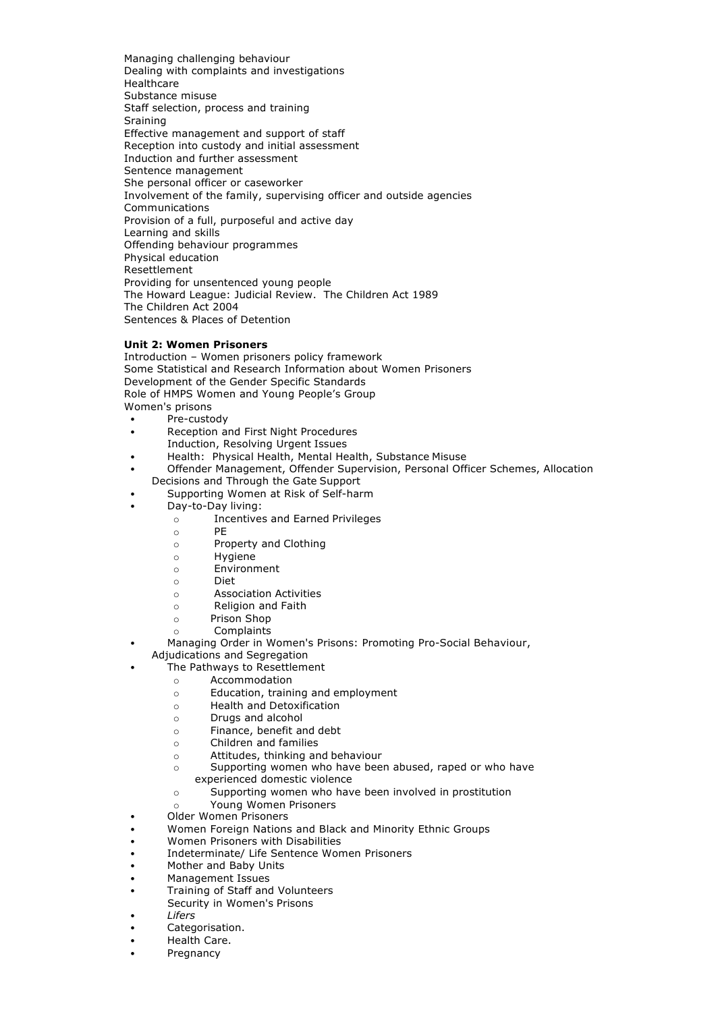Managing challenging behaviour Dealing with complaints and investigations Healthcare Substance misuse Staff selection, process and training **Sraining** Effective management and support of staff Reception into custody and initial assessment Induction and further assessment Sentence management She personal officer or caseworker Involvement of the family, supervising officer and outside agencies Communications Provision of a full, purposeful and active day Learning and skills Offending behaviour programmes Physical education Resettlement Providing for unsentenced young people The Howard League: Judicial Review. The Children Act 1989 The Children Act 2004 Sentences & Places of Detention

#### **Unit 2: Women Prisoners**

Introduction – Women prisoners policy framework Some Statistical and Research Information about Women Prisoners Development of the Gender Specific Standards Role of HMPS Women and Young People's Group Women's prisons

- Pre-custody
- Reception and First Night Procedures
- Induction, Resolving Urgent Issues
- Health: Physical Health, Mental Health, Substance Misuse
- Offender Management, Offender Supervision, Personal Officer Schemes, Allocation Decisions and Through the Gate Support
- Supporting Women at Risk of Self-harm
	- Day-to-Day living:
		- o Incentives and Earned Privileges
		- o PE
		- o Property and Clothing
		- o Hygiene
		- o Environment
		- o Diet
		- o Association Activities
		- o Religion and Faith
		- o Prison Shop
		- o Complaints
- Managing Order in Women's Prisons: Promoting Pro-Social Behaviour,
	- Adjudications and Segregation The Pathways to Resettlement
		- o Accommodation
		- o Education, training and employment
		- o Health and Detoxification
		- o Drugs and alcohol
		- o Finance, benefit and debt
		- o Children and families
		- o Attitudes, thinking and behaviour
		- o Supporting women who have been abused, raped or who have
		- experienced domestic violence
		- o Supporting women who have been involved in prostitution
		- o Young Women Prisoners
		- Older Women Prisoners
- Women Foreign Nations and Black and Minority Ethnic Groups
- Women Prisoners with Disabilities
- Indeterminate/ Life Sentence Women Prisoners
- Mother and Baby Units
- Management Issues
- Training of Staff and Volunteers
- Security in Women's Prisons
- *Lifers*
- Categorisation.
- Health Care.
- **Pregnancy**